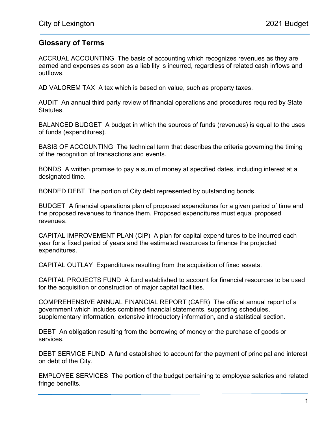## Glossary of Terms

ACCRUAL ACCOUNTING The basis of accounting which recognizes revenues as they are earned and expenses as soon as a liability is incurred, regardless of related cash inflows and outflows.

AD VALOREM TAX A tax which is based on value, such as property taxes.

AUDIT An annual third party review of financial operations and procedures required by State Statutes.

BALANCED BUDGET A budget in which the sources of funds (revenues) is equal to the uses of funds (expenditures).

BASIS OF ACCOUNTING The technical term that describes the criteria governing the timing of the recognition of transactions and events.

BONDS A written promise to pay a sum of money at specified dates, including interest at a designated time.

BONDED DEBT The portion of City debt represented by outstanding bonds.

BUDGET A financial operations plan of proposed expenditures for a given period of time and the proposed revenues to finance them. Proposed expenditures must equal proposed revenues.

CAPITAL IMPROVEMENT PLAN (CIP) A plan for capital expenditures to be incurred each year for a fixed period of years and the estimated resources to finance the projected expenditures.

CAPITAL OUTLAY Expenditures resulting from the acquisition of fixed assets.

CAPITAL PROJECTS FUND A fund established to account for financial resources to be used for the acquisition or construction of major capital facilities.

COMPREHENSIVE ANNUAL FINANCIAL REPORT (CAFR) The official annual report of a government which includes combined financial statements, supporting schedules, supplementary information, extensive introductory information, and a statistical section.

DEBT An obligation resulting from the borrowing of money or the purchase of goods or services.

DEBT SERVICE FUND A fund established to account for the payment of principal and interest on debt of the City.

EMPLOYEE SERVICES The portion of the budget pertaining to employee salaries and related fringe benefits.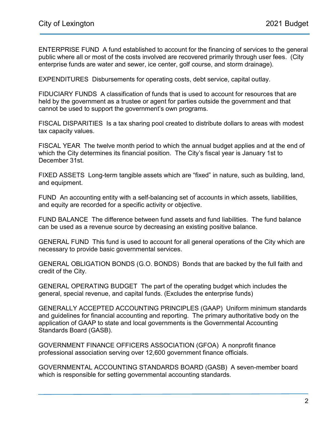ENTERPRISE FUND A fund established to account for the financing of services to the general public where all or most of the costs involved are recovered primarily through user fees. (City enterprise funds are water and sewer, ice center, golf course, and storm drainage).

EXPENDITURES Disbursements for operating costs, debt service, capital outlay.

FIDUCIARY FUNDS A classification of funds that is used to account for resources that are held by the government as a trustee or agent for parties outside the government and that cannot be used to support the government's own programs.

FISCAL DISPARITIES Is a tax sharing pool created to distribute dollars to areas with modest tax capacity values.

FISCAL YEAR The twelve month period to which the annual budget applies and at the end of which the City determines its financial position. The City's fiscal year is January 1st to December 31st.

FIXED ASSETS Long-term tangible assets which are "fixed" in nature, such as building, land, and equipment.

FUND An accounting entity with a self-balancing set of accounts in which assets, liabilities, and equity are recorded for a specific activity or objective.

FUND BALANCE The difference between fund assets and fund liabilities. The fund balance can be used as a revenue source by decreasing an existing positive balance.

GENERAL FUND This fund is used to account for all general operations of the City which are necessary to provide basic governmental services.

GENERAL OBLIGATION BONDS (G.O. BONDS) Bonds that are backed by the full faith and credit of the City.

GENERAL OPERATING BUDGET The part of the operating budget which includes the general, special revenue, and capital funds. (Excludes the enterprise funds)

GENERALLY ACCEPTED ACCOUNTING PRINCIPLES (GAAP) Uniform minimum standards and guidelines for financial accounting and reporting. The primary authoritative body on the application of GAAP to state and local governments is the Governmental Accounting Standards Board (GASB).

GOVERNMENT FINANCE OFFICERS ASSOCIATION (GFOA) A nonprofit finance professional association serving over 12,600 government finance officials.

GOVERNMENTAL ACCOUNTING STANDARDS BOARD (GASB) A seven-member board which is responsible for setting governmental accounting standards.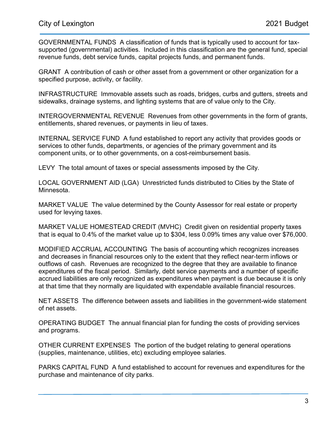GOVERNMENTAL FUNDS A classification of funds that is typically used to account for taxsupported (governmental) activities. Included in this classification are the general fund, special revenue funds, debt service funds, capital projects funds, and permanent funds.

GRANT A contribution of cash or other asset from a government or other organization for a specified purpose, activity, or facility.

INFRASTRUCTURE Immovable assets such as roads, bridges, curbs and gutters, streets and sidewalks, drainage systems, and lighting systems that are of value only to the City.

INTERGOVERNMENTAL REVENUE Revenues from other governments in the form of grants, entitlements, shared revenues, or payments in lieu of taxes.

INTERNAL SERVICE FUND A fund established to report any activity that provides goods or services to other funds, departments, or agencies of the primary government and its component units, or to other governments, on a cost-reimbursement basis.

LEVY The total amount of taxes or special assessments imposed by the City.

LOCAL GOVERNMENT AID (LGA) Unrestricted funds distributed to Cities by the State of Minnesota.

MARKET VALUE The value determined by the County Assessor for real estate or property used for levying taxes.

MARKET VALUE HOMESTEAD CREDIT (MVHC) Credit given on residential property taxes that is equal to 0.4% of the market value up to \$304, less 0.09% times any value over \$76,000.

MODIFIED ACCRUAL ACCOUNTING The basis of accounting which recognizes increases and decreases in financial resources only to the extent that they reflect near-term inflows or outflows of cash. Revenues are recognized to the degree that they are available to finance expenditures of the fiscal period. Similarly, debt service payments and a number of specific accrued liabilities are only recognized as expenditures when payment is due because it is only at that time that they normally are liquidated with expendable available financial resources.

NET ASSETS The difference between assets and liabilities in the government-wide statement of net assets.

OPERATING BUDGET The annual financial plan for funding the costs of providing services and programs.

OTHER CURRENT EXPENSES The portion of the budget relating to general operations (supplies, maintenance, utilities, etc) excluding employee salaries.

PARKS CAPITAL FUND A fund established to account for revenues and expenditures for the purchase and maintenance of city parks.